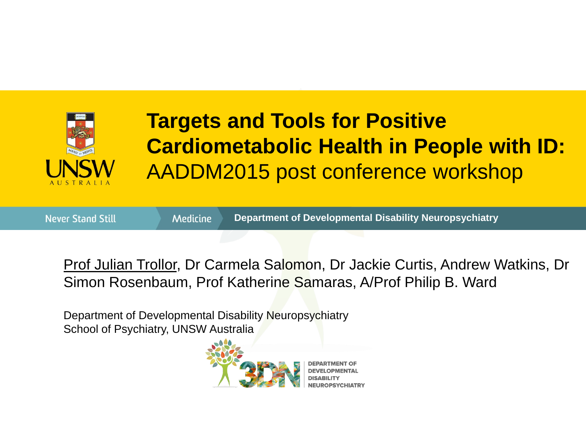

#### **Targets and Tools for Positive Cardiometabolic Health in People with ID:**  AADDM2015 post conference workshop

**Never Stand Still** 

**Medicine** 

**Department of Developmental Disability Neuropsychiatry**

Prof Julian Trollor, Dr Carmela Salomon, Dr Jackie Curtis, Andrew Watkins, Dr Simon Rosenbaum, Prof Katherine Samaras, A/Prof Philip B. Ward

Department of Developmental Disability Neuropsychiatry School of Psychiatry, UNSW Australia

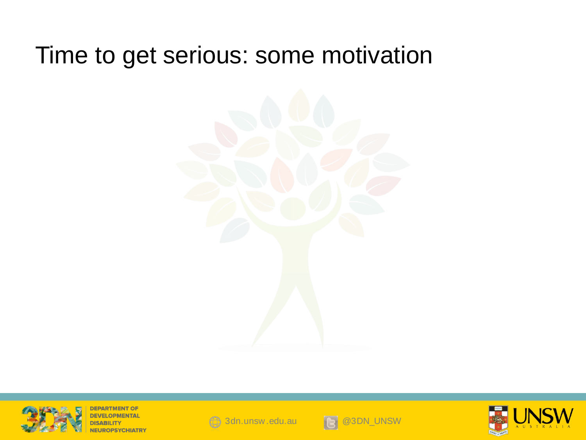#### Time to get serious: some motivation





**DEPARTMENT OF** 





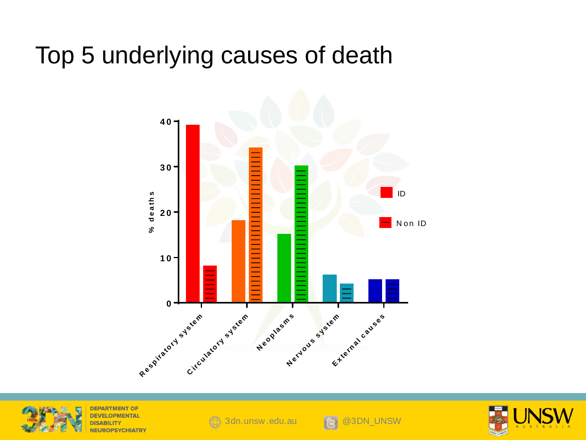#### Top 5 underlying causes of death





**DEPARTMENT OF ROPSYCHIATR\** 





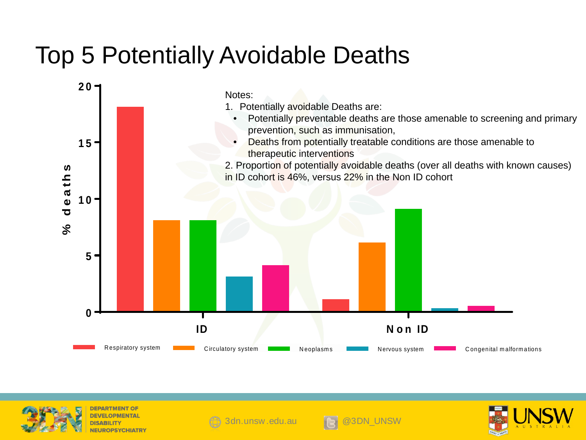#### Top 5 Potentially Avoidable Deaths





**DEPARTMENT OF** PSYCHIATR





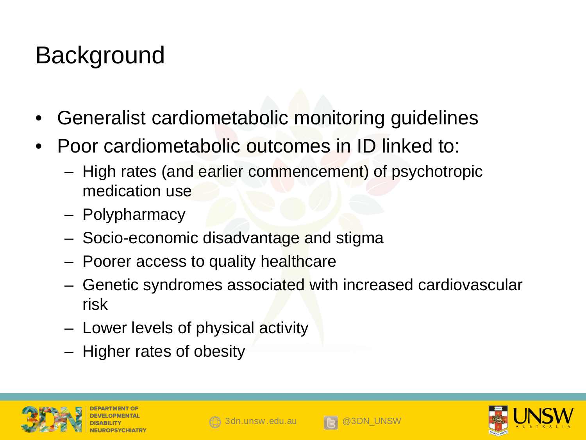## **Background**

- Generalist cardiometabolic monitoring guidelines
- Poor cardiometabolic outcomes in ID linked to:
	- High rates (and earlier commencement) of psychotropic medication use
	- Polypharmacy
	- Socio-economic disadvantage and stigma
	- Poorer access to quality healthcare
	- Genetic syndromes associated with increased cardiovascular risk
	- Lower levels of physical activity
	- Higher rates of obesity









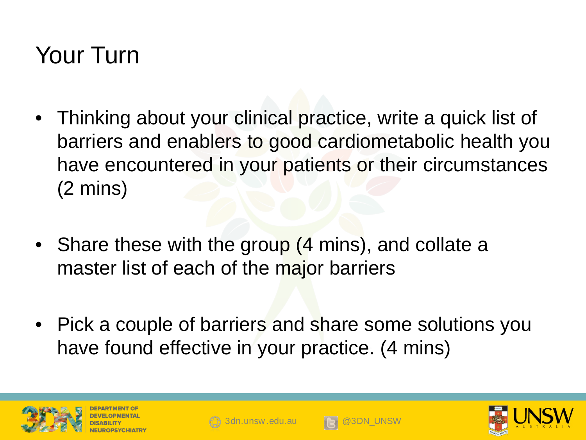### Your Turn

- Thinking about your clinical practice, write a quick list of barriers and enablers to good cardiometabolic health you have encountered in your patients or their circumstances (2 mins)
- Share these with the group (4 mins), and collate a master list of each of the major barriers
- Pick a couple of barriers and share some solutions you have found effective in your practice. (4 mins)









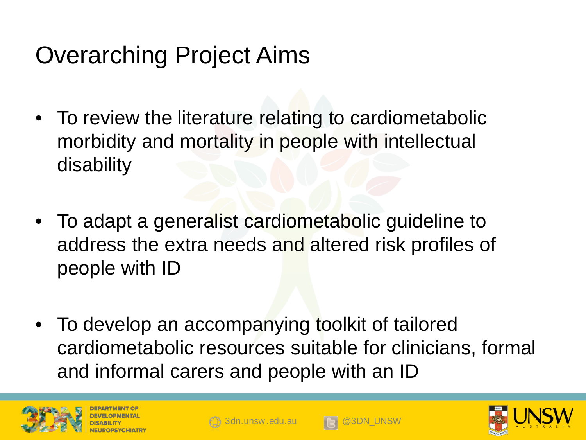## Overarching Project Aims

- To review the literature relating to cardiometabolic morbidity and mortality in people with intellectual disability
- To adapt a generalist cardiometabolic guideline to address the extra needs and altered risk profiles of people with ID
- To develop an accompanying toolkit of tailored cardiometabolic resources suitable for clinicians, formal and informal carers and people with an ID







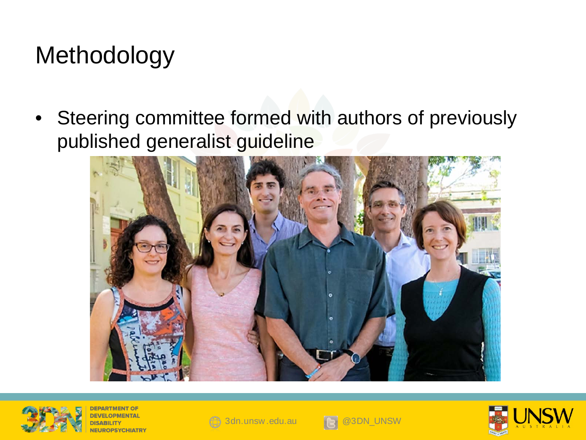## Methodology

• Steering committee formed with authors of previously published generalist guideline





**DEPARTMENT OF }PSYCHIATR`** 





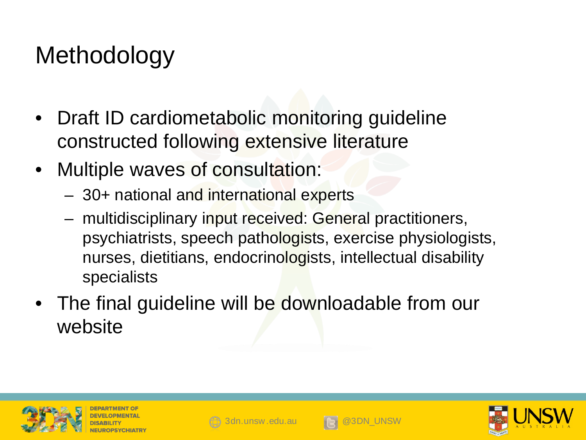## **Methodology**

- Draft ID cardiometabolic monitoring guideline constructed following extensive literature
- Multiple waves of consultation:
	- 30+ national and international experts
	- multidisciplinary input received: General practitioners, psychiatrists, speech pathologists, exercise physiologists, nurses, dietitians, endocrinologists, intellectual disability specialists
- The final guideline will be downloadable from our website







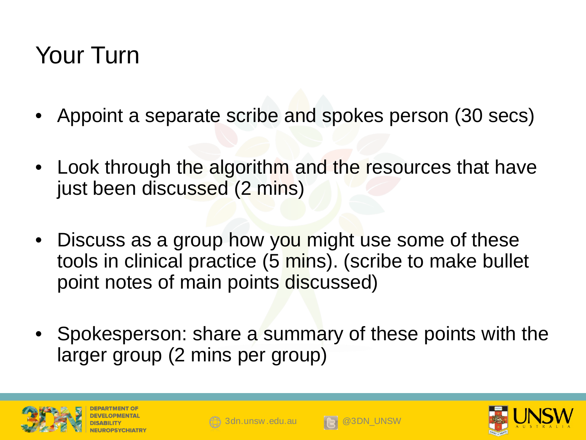### Your Turn

- Appoint a separate scribe and spokes person (30 secs)
- Look through the algorithm and the resources that have just been discussed (2 mins)
- Discuss as a group how you might use some of these tools in clinical practice (5 mins). (scribe to make bullet point notes of main points discussed)
- Spokesperson: share a summary of these points with the larger group (2 mins per group)









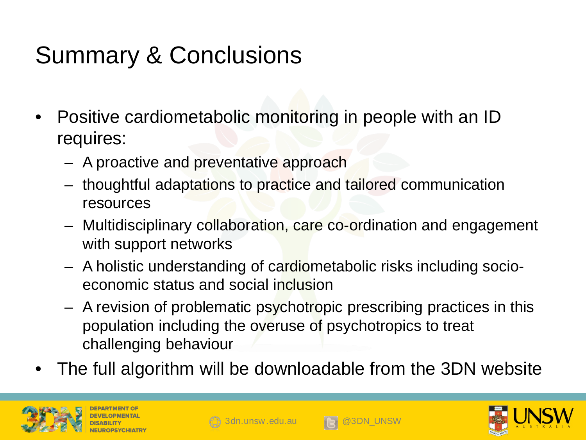# Summary & Conclusions

- Positive cardiometabolic monitoring in people with an ID requires:
	- A proactive and preventative approach
	- thoughtful adaptations to practice and tailored communication resources
	- Multidisciplinary collaboration, care co-ordination and engagement with support networks
	- A holistic understanding of cardiometabolic risks including socioeconomic status and social inclusion
	- A revision of problematic psychotropic prescribing practices in this population including the overuse of psychotropics to treat challenging behaviour
- The full algorithm will be downloadable from the 3DN website







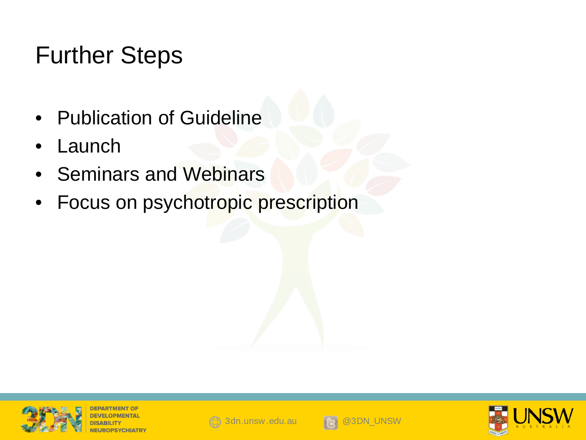## Further Steps

- Publication of Guideline
- **Launch**
- Seminars and Webinars
- Focus on psychotropic prescription



**JEPARTMENT OF** 





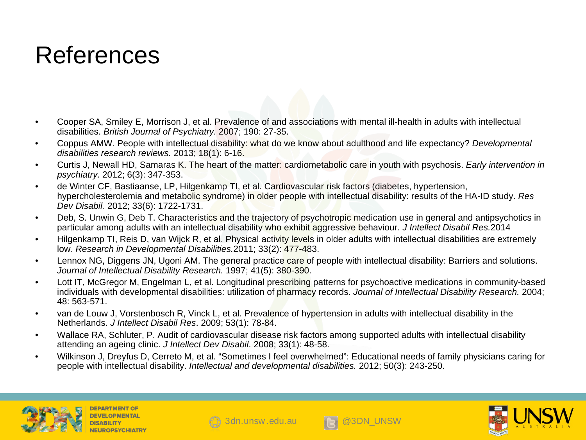#### References

- Cooper SA, Smiley E, Morrison J, et al. Prevalence of and associations with mental ill-health in adults with intellectual disabilities. *British Journal of Psychiatry.* 2007; 190: 27-35.
- Coppus AMW. People with intellectual disability: what do we know about adulthood and life expectancy? *Developmental disabilities research reviews.* 2013; 18(1): 6-16.
- Curtis J, Newall HD, Samaras K. The heart of the matter: cardiometabolic care in youth with psychosis. *Early intervention in psychiatry.* 2012; 6(3): 347-353.
- de Winter CF, Bastiaanse, LP, Hilgenkamp TI, et al. Cardiovascular risk factors (diabetes, hypertension, hypercholesterolemia and metabolic syndrome) in older people with intellectual disability: results of the HA-ID study. *Res Dev Disabil.* 2012; 33(6): 1722-1731.
- Deb, S. Unwin G, Deb T. Characteristics and the trajectory of psychotropic medication use in general and antipsychotics in particular among adults with an intellectual disability who exhibit aggressive behaviour. *J Intellect Disabil Res.*2014
- Hilgenkamp TI, Reis D, van Wijck R, et al. Physical activity levels in older adults with intellectual disabilities are extremely low. *Research in Developmental Disabilities.*2011; 33(2): 477-483.
- Lennox NG, Diggens JN, Ugoni AM. The general practice care of people with intellectual disability: Barriers and solutions. *Journal of Intellectual Disability Research.* 1997; 41(5): 380-390.
- Lott IT, McGregor M, Engelman L, et al. Longitudinal prescribing patterns for psychoactive medications in community-based individuals with developmental disabilities: utilization of pharmacy records. *Journal of Intellectual Disability Research.* 2004; 48: 563-571.
- van de Louw J, Vorstenbosch R, Vinck L, et al. Prevalence of hypertension in adults with intellectual disability in the Netherlands. *J Intellect Disabil Res*. 2009; 53(1): 78-84.
- Wallace RA, Schluter, P. Audit of cardiovascular disease risk factors among supported adults with intellectual disability attending an ageing clinic. *J Intellect Dev Disabil*. 2008; 33(1): 48-58.
- Wilkinson J, Dreyfus D, Cerreto M, et al. "Sometimes I feel overwhelmed": Educational needs of family physicians caring for people with intellectual disability. *Intellectual and developmental disabilities.* 2012; 50(3): 243-250.







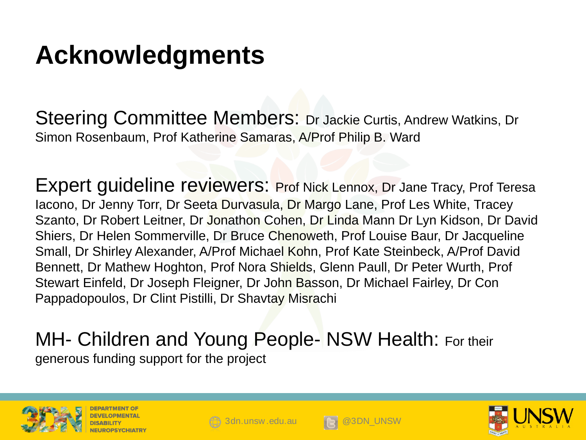# **Acknowledgments**

Steering Committee Members: Dr Jackie Curtis, Andrew Watkins, Dr Simon Rosenbaum, Prof Katherine Samaras, A/Prof Philip B. Ward

Expert guideline reviewers: Prof Nick Lennox, Dr Jane Tracy, Prof Teresa Iacono, Dr Jenny Torr, Dr Seeta Durvasula, Dr Margo Lane, Prof Les White, Tracey Szanto, Dr Robert Leitner, Dr Jonathon Cohen, Dr Linda Mann Dr Lyn Kidson, Dr David Shiers, Dr Helen Sommerville, Dr Bruce Chenoweth, Prof Louise Baur, Dr Jacqueline Small, Dr Shirley Alexander, A/Prof Michael Kohn, Prof Kate Steinbeck, A/Prof David Bennett, Dr Mathew Hoghton, Prof Nora Shields, Glenn Paull, Dr Peter Wurth, Prof Stewart Einfeld, Dr Joseph Fleigner, Dr John Basson, Dr Michael Fairley, Dr Con Pappadopoulos, Dr Clint Pistilli, Dr Shavtay Misrachi

#### MH- Children and Young People- NSW Health: For their generous funding support for the project